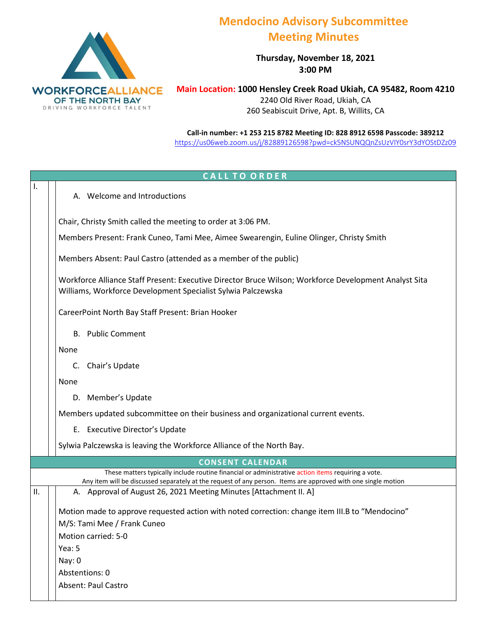

## **Mendocino Advisory Subcommittee Meeting Minutes**

**Thursday, November 18, 2021 3:00 PM**

**Main Location: 1000 Hensley Creek Road Ukiah, CA 95482, Room 4210** 2240 Old River Road, Ukiah, CA 260 Seabiscuit Drive, Apt. B, Willits, CA

**Call-in number: +1 253 215 8782 Meeting ID: 828 8912 6598 Passcode: 38921[2](https://zoom.us/j/96220583443?pwd=UDZBcmg1dk5NeXVSMXpjeDFwVlpTdz09)** <https://us06web.zoom.us/j/82889126598?pwd=ck5NSUNQQnZsUzVIY0srY3dYOStDZz09>

## **CALL TO ORDER** I. A. Welcome and Introductions Chair, Christy Smith called the meeting to order at 3:06 PM. Members Present: Frank Cuneo, Tami Mee, Aimee Swearengin, Euline Olinger, Christy Smith Members Absent: Paul Castro (attended as a member of the public) Workforce Alliance Staff Present: Executive Director Bruce Wilson; Workforce Development Analyst Sita Williams, Workforce Development Specialist Sylwia Palczewska CareerPoint North Bay Staff Present: Brian Hooker B. Public Comment None C. Chair's Update None D. Member's Update Members updated subcommittee on their business and organizational current events. E. Executive Director's Update Sylwia Palczewska is leaving the Workforce Alliance of the North Bay. **CONSENT CALENDAR** These matters typically include routine financial or administrative action items requiring a vote. Any item will be discussed separately at the request of any person. Items are approved with one single motion II.  $\vert$   $\vert$  A. Approval of August 26, 2021 Meeting Minutes [Attachment II. A] Motion made to approve requested action with noted correction: change item III.B to "Mendocino" M/S: Tami Mee / Frank Cuneo Motion carried: 5-0 Yea: 5 Nay: 0 Abstentions: 0 Absent: Paul Castro